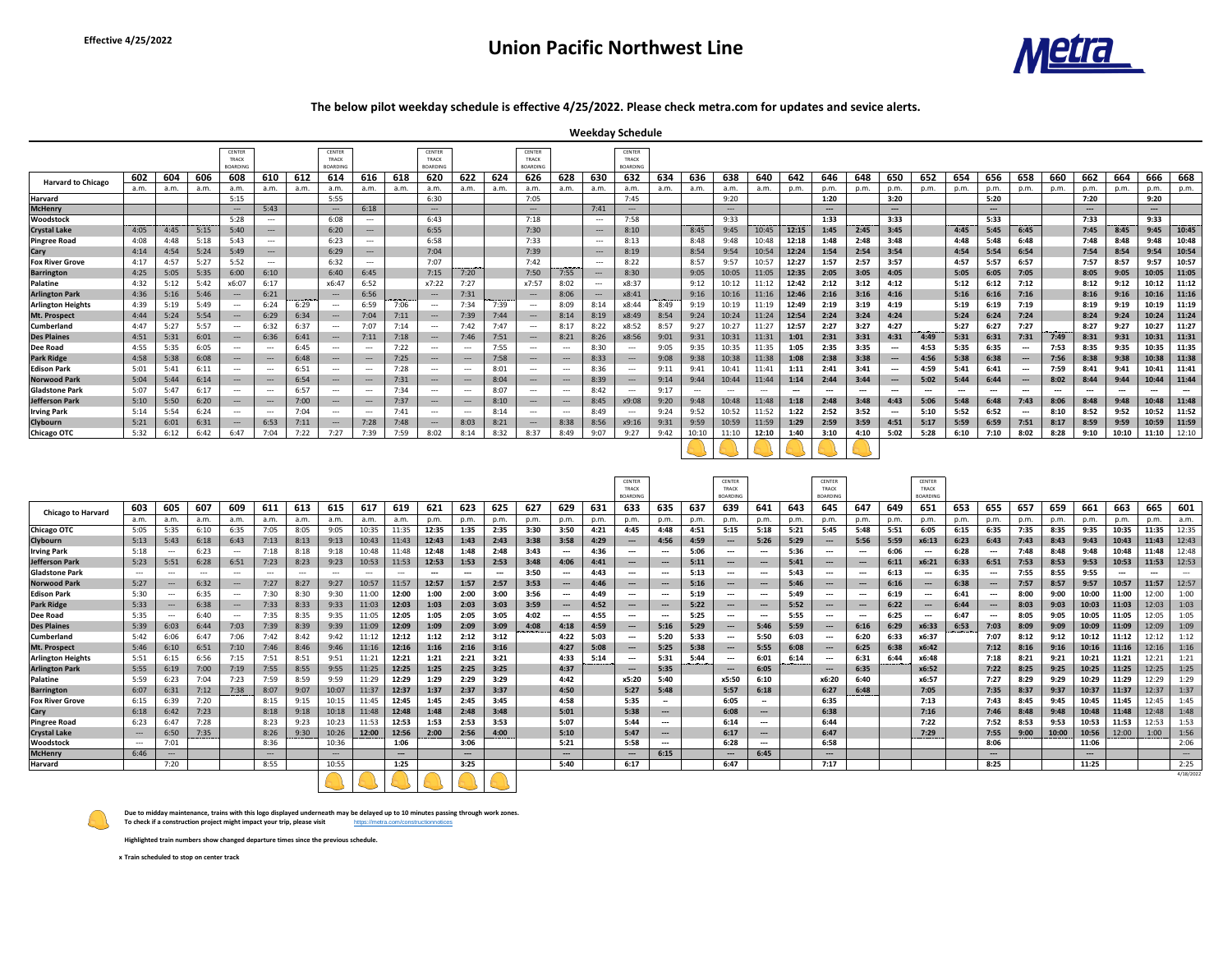# **Effective 4/25/2022 Union Pacific Northwest Line**

|                                |      |      |      | <b>CENTER</b>                                   |       |      | <b>CENTER</b>   |       |      | <b>CENTER</b>   |       |      | <b>CENTER</b>   |       |                     | <b>CENTER</b>   |              |       |       |       |                        |                        |       |                                                                                                                           |                        |                        |                        |                              |                        |                                                               |                        |                                                       |                        |
|--------------------------------|------|------|------|-------------------------------------------------|-------|------|-----------------|-------|------|-----------------|-------|------|-----------------|-------|---------------------|-----------------|--------------|-------|-------|-------|------------------------|------------------------|-------|---------------------------------------------------------------------------------------------------------------------------|------------------------|------------------------|------------------------|------------------------------|------------------------|---------------------------------------------------------------|------------------------|-------------------------------------------------------|------------------------|
|                                |      |      |      | <b>TRACK</b>                                    |       |      | <b>TRACK</b>    |       |      | TRACK           |       |      | <b>TRACK</b>    |       |                     | <b>TRACK</b>    |              |       |       |       |                        |                        |       |                                                                                                                           |                        |                        |                        |                              |                        |                                                               |                        |                                                       |                        |
|                                |      |      |      | <b>BOARDING</b>                                 |       |      | <b>BOARDING</b> |       |      | <b>BOARDING</b> |       |      | <b>BOARDING</b> |       |                     | <b>BOARDING</b> |              |       |       |       |                        |                        |       |                                                                                                                           |                        |                        |                        |                              |                        |                                                               |                        |                                                       |                        |
| <b>Harvard to Chicago</b>      | 602  | 604  | 606  | 608                                             | 610   | 612  | 614             | 616   | 618  | 620             | 622   | 624  | 626             | 628   | 630                 | 632             | 634          | 636   | 638   | 640   | 642                    | 646                    | 648   | 650                                                                                                                       | 652                    | 654                    | 656                    | 658                          | 660                    | 662                                                           | 664                    | 666                                                   | 668                    |
|                                | a.m. | a.m. | a.m. | a.m.                                            | a.m.  | a.m. | a.m.            | a.m.  | .a.m | a.m.            | a.m.  | a.m. | a.m.            | a.m.  | a.m.                | a.m.            | a.m.         | a.m.  | .a.m  | a.m.  | p.m.                   | p.m.                   | p.m.  | p.m.                                                                                                                      | p.m.                   | p.m.                   | p.m.                   | p.m.                         | p.m.                   | p.m.                                                          | p.m.                   | p.m.                                                  | p.m.                   |
| <b>Harvard</b>                 |      |      |      | 5:15                                            |       |      | 5:55            |       |      | 6:30            |       |      | 7:05            |       |                     | 7:45            |              |       | 9:20  |       |                        | 1:20                   |       | 3:20                                                                                                                      |                        |                        | 5:20                   |                              |                        | 7:20                                                          |                        | 9:20                                                  |                        |
| <b>McHenry</b>                 |      |      |      | ----                                            | 5:43  |      | $---$           | 6:18  |      | $---$           |       |      | $---$           |       | 7:41                | $---$           |              |       | $---$ |       |                        | $\qquad \qquad \cdots$ |       | $---$                                                                                                                     |                        |                        | $\qquad \qquad \cdots$ |                              |                        | $\hspace{0.1em}-\hspace{0.1em}-\hspace{0.1em}-\hspace{0.1em}$ |                        | $\hspace{0.1em} \cdots \hspace{0.1em} \hspace{0.1em}$ |                        |
| <b>Woodstock</b>               |      |      |      | 5:28                                            | $---$ |      | 6:08            | $---$ |      | 6:43            |       |      | 7:18            |       | $---$               | 7:58            |              |       | 9:33  |       |                        | 1:33                   |       | 3:33                                                                                                                      |                        |                        | 5:33                   |                              |                        | 7:33                                                          |                        | 9:33                                                  |                        |
| <b>Crystal Lake</b>            | 4:05 | 4:45 | 5:15 | 5:40                                            | $---$ |      | 6:20            | $---$ |      | 6:55            |       |      | 7:30            |       | $---$               | 8:10            |              | 8:45  | 9:45  | 10:45 | 12:15                  | 1:45                   | 2:45  | 3:45                                                                                                                      |                        | 4:45                   | 5:45                   | 6:45                         |                        | 7:45                                                          | 8:45                   | 9:45                                                  | 10:45                  |
| <b>Pingree Road</b>            | 4:08 | 4:48 | 5:18 | 5:43                                            | ---   |      | 6:23            |       |      | 6:58            |       |      | 7:33            |       | $---$               | 8:13            |              | 8:48  | 9:48  | 10:48 | 12:18                  | 1:48                   | 2:48  | 3:48                                                                                                                      |                        | 4:48                   | 5:48                   | 6:48                         |                        | 7:48                                                          | 8:48                   | 9:48                                                  | 10:48                  |
| <b>Cary</b>                    | 4:14 | 4:54 | 5:24 | 5:49                                            | $---$ |      | 6:29            | $---$ |      | 7:04            |       |      | 7:39            |       | $---$               | 8:19            |              | 8:54  | 9:54  | 10:54 | 12:24                  | 1:54                   | 2:54  | 3:54                                                                                                                      |                        | 4:54                   | 5:54                   | 6:54                         |                        | 7:54                                                          | 8:54                   | 9:54                                                  | 10:54                  |
| <b>Fox River Grove</b>         | 4:17 | 4:57 | 5:27 | 5:52                                            | $---$ |      | 6:32            | $---$ |      | 7:07            |       |      | 7:42            |       | $---$               | 8:22            |              | 8:57  | 9:57  | 10:57 | 12:27                  | 1:57                   | 2:57  | 3:57                                                                                                                      |                        | 4:57                   | 5:57                   |                              |                        | 7:57                                                          | 8:57                   | 9:57                                                  | 10:57                  |
| <b>Barrington</b>              | 4:25 | 5:05 | 5:35 | 6:00                                            | 6:10  |      | 6:40            | 6:45  |      | 7:15            | 7:20  |      | 7:50            | 7:55  | $---$               | 8:30            |              | 9:05  | 10:05 | 11:05 | 12:35                  | 2:05                   | 3:05  | 4:05                                                                                                                      |                        | 5:05                   | 6:05                   | 7:05                         |                        | 8:05                                                          | 9:05                   | 10:05                                                 | 11:05                  |
| Palatine                       | 4:32 | 5:12 | 5:42 | x6:07                                           | 6:17  |      | x6:47           | 6:52  |      | x7:22           | 7:27  |      | x7:57           | 8:02  | $\qquad \qquad - -$ | x8:37           |              | 9:12  | 10:12 | 11:12 | 12:42                  | 2:12                   | 3:12  | 4:12                                                                                                                      |                        | 5:12                   | 6:12                   | 7:12                         |                        | 8:12                                                          | 9:12                   | 10:12                                                 | 11:12                  |
| <b>Arlington Park</b>          | 4:36 | 5:16 | 5:46 | $---$                                           | 6:21  |      | $---$           | 6:56  |      | $---$           | 7:31  |      | $---$           | 8:06  | $---$               | x8:41           |              | 9:16  | 10:16 | 11:16 | 12:46                  | 2:16                   | 3:16  | 4:16                                                                                                                      |                        | 5:16                   | 6:16                   |                              |                        | 8:16                                                          | 9:16                   | 10:16                                                 | 11:16                  |
| <b>Arlington Heights</b>       | 4:39 | 5:19 | 5:49 | $---$                                           | 6:24  | 6:29 | $---$           | 6:59  | 7:06 | $---$           | 7:34  | 7:39 | $---$           | 8:09  | 8:14                | x8:44           | 8:49         | 9:19  | 10:19 | 11:19 | 12:49                  | 2:19                   | 3:19  | 4:19                                                                                                                      |                        | 5:19                   | 6:19                   | 7:19                         |                        | 8:19                                                          | 9:19                   | 10:19                                                 | 11:19                  |
| Mt. Prospect                   | 4:44 | 5:24 | 5:54 | $---$                                           | 6:29  | 6:34 | $---$           | 7:04  | 7:11 | $---$           | 7:39  | 7:44 | $---$           | 8:14  | 8:19                | x8:49           | 8:54         | 9:24  | 10:24 | 11:24 | 12:54                  | 2:24                   | 3:24  | 4:24                                                                                                                      |                        | 5:24                   | 6:24                   | 7:24                         |                        | 8:24                                                          | 9:24                   | 10:24                                                 | 11:24                  |
| <b>Cumberland</b>              | 4:47 | 5:27 | 5:57 | $---$                                           | 6:32  | 6:37 | $---$           | 7:07  | 7:14 | $---$           | 7:42  | 7:47 | $---$           | 8:17  | 8:22                | x8:52           | 8:57         | 9:27  | 10:27 | 11:27 | 12:57                  | 2:27                   | 3:27  | 4:27                                                                                                                      |                        | 5:27                   | 6:27                   | 7:27                         |                        | 8:27                                                          | 9:27                   | 10:27                                                 | 11:27                  |
| <b>Des Plaines</b>             | 4:51 | 5:31 | 6:01 | $---$                                           | 6:36  | 6:41 | ----            | 7:11  | 7:18 | $---$           | 7:46  | 7:51 | $---$           | 8:21  | 8:26                | x8:56           | 9:01         | 9:31  | 10:31 | 11:31 | 1:01                   | 2:31                   | 3:31  | 4:31                                                                                                                      | 4:49                   | 5:31                   | 6:31                   | 7:31                         | 7:49                   | 8:31                                                          | 9:31                   | 10:31                                                 | 11:31                  |
| Dee Road                       | 4:55 | 5:35 | 6:05 | $---$                                           | $---$ | 6:45 | $---$           | $---$ | 7:22 | $---$           | ---   | 7:55 | $---$           | $---$ | 8:30                | $---$           | 9:05         | 9:35  | 10:35 | 11:35 | 1:05                   | 2:35                   | 3:35  | $\qquad \qquad \cdots$                                                                                                    | 4:53                   | 5:35                   | 6:35                   | $\qquad \qquad \textbf{---}$ | 7:53                   | 8:35                                                          | 9:35                   | 10:35                                                 | 11:35                  |
| <b>Park Ridge</b>              | 4:58 | 5:38 | 6:08 | $---$                                           | $---$ | 6:48 | $---$           | $---$ | 7:25 | $---$           | ----  | 7:58 | $---$           | $---$ | 8:33                | $---$           | 9:08         | 9:38  | 10:38 | 11:38 | 1:08                   | 2:38                   | 3:38  | $\hspace{0.1em} \hspace{0.1em} \hspace{0.1em} \hspace{0.1em} \hspace{0.1em} \hspace{0.1em} \hspace{0.1em} \hspace{0.1em}$ | 4:56                   | 5:38                   | 6:38                   | $\qquad \qquad \textbf{---}$ | 7:56                   | 8:38                                                          | 9:38                   | 10:38                                                 | 11:38                  |
| <b>Edison Park</b>             | 5:01 | 5:41 | 6:11 | $---$                                           | $---$ | 6:51 | $---$           | $---$ | 7:28 | $---$           | $---$ | 8:01 | $---$           | ----  | 8:36                | $---$           | 9:11         | 9:41  | 10:41 | 11:41 | 1:11                   | 2:41                   | 3:41  | $\qquad \qquad \text{---}$                                                                                                | 4:59                   | 5:41                   | 6:41                   | $\qquad \qquad \textbf{---}$ | 7:59                   | 8:41                                                          | 9:41                   | 10:41                                                 | 11:41                  |
| <b>Norwood Park</b>            | 5:04 | 5:44 | 6:14 | $---$                                           | $---$ | 6:54 | $---$           | $---$ | 7:31 | $---$           | ----  | 8:04 | $---$           | $---$ | 8:39                | $---$           | 9:14         | 9:44  | 10:44 | 11:44 | 1:14                   | 2:44                   | 3:44  | $--$                                                                                                                      | 5:02                   | 5:44                   | 6:44                   | $\qquad \qquad \cdots$       | 8:02                   | 8:44                                                          | 9:44                   | 10:44                                                 | 11:44                  |
| <b>Gladstone Park</b>          | 5:07 | 5:47 | 6:17 | $---$                                           | $---$ | 6:57 | $---$           | $---$ | 7:34 | $---$           | $---$ | 8:07 | $---$           | $---$ | 8:42                | $---$           | $Q \cdot 17$ | $---$ | $---$ | $---$ | $\qquad \qquad \cdots$ | $\qquad \qquad \cdots$ | $---$ | $\hspace{0.05cm} \ldots \hspace{0.05cm}$                                                                                  | $\qquad \qquad \cdots$ | $\qquad \qquad \cdots$ | ---                    | $---$                        | $\qquad \qquad \cdots$ | ----                                                          | $\qquad \qquad \cdots$ | $---$                                                 | $\qquad \qquad \cdots$ |
| Jefferson Park                 | 5:10 | 5:50 | 6:20 | $---$                                           | $---$ | 7:00 | $---$           | $---$ | 7:37 |                 | $---$ | 8:10 | $---$           | $---$ | 8:45                | x9:08           | 9:20         | 9:48  | 10:48 | 11:48 | 1:18                   | 2:48                   | 3:48  | 4:43                                                                                                                      | 5:06                   | 5:48                   | 6:48                   | 7:43                         | 8:06                   | 8:48                                                          | 9:48                   | 10:48                                                 | 11:48                  |
|                                | 5:14 | 5:54 | 6:24 |                                                 | $---$ | 7:04 | $---$           | $--$  | 7:41 |                 | $---$ | 8:14 |                 | $--$  | 8:49                | $---$           | 9:24         | 9:52  | 10:52 | 11:52 | 1:22                   | 2:52                   | 3:52  | $\hspace{0.05cm} \dashrightarrow$                                                                                         | 5:10                   | 5:52                   | 6:52                   | $---$                        | 8:10                   | 8:52                                                          | 9:52                   | 10:52                                                 | 11:52                  |
| <b>Irving Park</b><br>Clybourn | 5:21 | 6:01 | 6:31 | $\hspace{0.1mm}-\hspace{0.1mm}-\hspace{0.1mm}-$ | 6:53  | 7:11 | $\sim$ –––––    | 7:28  | 7:48 |                 | 8:03  | 8:21 | $\sim$          | 8:38  | 8:56                | x9:16           | 9:31         | 9:59  | 10:59 | 11:59 | 1:29                   | 2:59                   | 3:59  | 4:51                                                                                                                      | 5:17                   | 5:59                   | 6:59                   | 7:51                         | 8:17                   | 8:59                                                          | 9:59                   | 10:59                                                 | 11:59                  |
| <b>Chicago OTC</b>             | 5:32 |      | 6:42 | 6:47                                            | 7:04  | 7:22 | 7:27            | 7:39  | 7:59 | 8:02            | 8:14  | 8:32 | 8:37            | 8:49  | 9:07                | 9:27            | 9:42         | 10:10 | 11:10 | 12:10 | 1:40                   | 3:10                   | 4:10  | 5:02                                                                                                                      | 5:28                   | 6:10                   | 7:10                   | 8:02                         | 8:28                   | 9:10                                                          | 10:10                  | 11:10                                                 | 12:10                  |
|                                |      |      |      |                                                 |       |      |                 |       |      |                 |       |      |                 |       |                     |                 |              |       |       |       |                        |                        |       |                                                                                                                           |                        |                        |                        |                              |                        |                                                               |                        |                                                       |                        |

|                           |       |       |       |       |       |       |       |       |       |       |                        |                        |      |                            |      | CENTER<br><b>TRACK</b><br><b>BOARDING</b>                     |                                                               |      | <b>CENTER</b><br><b>TRACK</b><br><b>BOARDING</b> |                        |      | <b>CENTER</b><br>TRACK<br>BOARDING |                                                               |      | CENTER<br>TRACK<br><b>BOARDING</b>     |      |                                                               |      |       |       |       |       |           |
|---------------------------|-------|-------|-------|-------|-------|-------|-------|-------|-------|-------|------------------------|------------------------|------|----------------------------|------|---------------------------------------------------------------|---------------------------------------------------------------|------|--------------------------------------------------|------------------------|------|------------------------------------|---------------------------------------------------------------|------|----------------------------------------|------|---------------------------------------------------------------|------|-------|-------|-------|-------|-----------|
| <b>Chicago to Harvard</b> | 603   | 605   | 607   | 609   | 611   | 613   | 615   | 617   | 619   | 621   | 623                    | 625                    | 627  | 629                        | 631  | 633                                                           | 635                                                           | 637  | 639                                              | 641                    | 643  | 645                                | 647                                                           | 649  | 651                                    | 653  | 655                                                           | 657  | 659   | 661   | 663   | 665   | 601       |
|                           | a.m.  | a.m.  | a.m.  | a.m.  | a.m.  | a.m.  | a.m.  | a.m.  | a.m.  | p.m.  | p.m.                   | p.m.                   | p.m. | p.m.                       | p.m. | p.m.                                                          | p.m.                                                          | p.m. | p.m.                                             | p.m.                   | p.m. | p.m.                               | p.m.                                                          | p.m. | p.m.                                   | p.m. | p.m.                                                          | p.m. | p.m.  | p.m.  | p.m.  | p.m.  | a.m.      |
| <b>Chicago OTC</b>        | 5:05  | 5:35  | 6:10  | 6:35  | 7:05  | 8:05  | 9:05  | 10:35 | 11:35 | 12:35 | 1:35                   | 2:35                   | 3:30 | 3:50                       | 4:21 | 4:45                                                          | 4:48                                                          | 4:51 | 5:15                                             | 5:18                   | 5:21 | 5:45                               | 5:48                                                          | 5:51 | 6:05                                   | 6:15 | 6:35                                                          | 7:35 | 8:35  | 9:35  | 10:35 | 11:35 | 12:35     |
| <b>Clybourn</b>           | 5:13  | 5:43  | 6:18  | 6:43  | 7:13  | 8:13  | 9:13  | 10:43 | 11:43 | 12:43 | 1:43                   | 2:43                   | 3:38 | 3:58                       | 4:29 | $---$                                                         | 4:56                                                          | 4:59 | $\hspace{0.1em} \cdots \hspace{0.1em}$           | 5:26                   | 5:29 | $\qquad \qquad \text{---}$         | 5:56                                                          | 5:59 | x6:13                                  | 6:23 | 6:43                                                          | 7:43 | 8:43  | 9:43  | 10:43 | 11:43 | 12:43     |
| <b>Irving Park</b>        | 5:18  | $---$ | 6:23  | $---$ | 7:18  | 8:18  | 9:18  | 10:48 | 11:48 | 12:48 | 1:48                   | 2:48                   | 3:43 | $\qquad \qquad - -$        | 4:36 | ---                                                           | $\qquad \qquad \cdots$                                        | 5:06 |                                                  |                        | 5:36 | $\qquad \qquad \cdots$             | $---$                                                         | 6:06 |                                        | 6:28 | $\qquad \qquad \cdots$                                        | 7:48 | 8:48  | 9:48  | 10:48 | 11:48 | 12:48     |
| Jefferson Park            | 5:23  | 5:51  | 6:28  | 6:51  | 7:23  | 8:23  | 9:23  | 10:53 | 11:53 | 12:53 | 1:53                   | 2:53                   | 3:48 | 4:06                       | 4:41 | $---$                                                         | $\hspace{0.1em}-\hspace{0.1em}-\hspace{0.1em}-\hspace{0.1em}$ | 5:11 | $---$                                            | $---$                  | 5:41 | $\qquad \qquad \text{---}$         | $\qquad \qquad \text{---}$                                    | 6:11 | x6:21                                  | 6:33 | 6:51                                                          | 7:53 | 8:53  | 9:53  | 10:53 | 11:53 | 12:53     |
| <b>Gladstone Park</b>     | $---$ | $---$ | $---$ | $---$ | ---   | $---$ | $---$ |       |       |       |                        | $\qquad \qquad \cdots$ | 3:50 | $\qquad \qquad - -$        | 4:43 | $\qquad \qquad \cdots$                                        | $\hspace{0.05cm} \ldots \hspace{0.05cm}$                      | 5:13 |                                                  | $---$                  | 5:43 | $\qquad \qquad \cdots$             | $---$                                                         | 6:13 | $---$                                  | 6:35 | $\qquad \qquad \cdots$                                        | 7:55 | 8:55  | 9:55  |       |       |           |
| Norwood Park              | 5:27  | $---$ | 6:32  | $--$  | 7:27  | 8:27  | 9:27  | 10:57 | 11:57 | 12:57 | 1:57                   | 2:57                   | 3:53 | $\qquad \qquad \text{---}$ | 4:46 | $\hspace{0.1em} \cdots \hspace{0.1em}$                        | $\hspace{0.1em}-\hspace{0.1em}-\hspace{0.1em}-\hspace{0.1em}$ | 5:16 | $\qquad \qquad \cdots$                           | $---$                  | 5:46 | $\qquad \qquad \text{---}$         | $---$                                                         | 6:16 | $\qquad \qquad \text{---}$             | 6:38 | $\hspace{0.1em}-\hspace{0.1em}-\hspace{0.1em}-\hspace{0.1em}$ | 7:57 | 8:57  | 9:57  | 10:57 | 11:57 | 12:57     |
| <b>Edison Park</b>        | 5:30  | $---$ | 6:35  | $---$ | 7:30  | 8:30  | 9:30  | 11:00 | 12:00 | 1:00  | 2:00                   | 3:00                   | 3:56 | $\qquad \qquad - -$        | 4:49 | $\qquad \qquad \cdots$                                        | $\hspace{0.05cm} \ldots \hspace{0.05cm}$                      | 5:19 |                                                  |                        | 5:49 | $\qquad \qquad \cdots$             | $---$                                                         | 6:19 | $---$                                  | 6:41 | $\qquad \qquad \cdots$                                        | 8:00 | 9:00  | 10:00 | 11:00 | 12:00 | 1:00      |
| <b>Park Ridge</b>         | 5:33  | $---$ | 6:38  | $---$ | 7:33  | 8:33  | 9:33  | 11:03 | 12:03 | 1:03  | 2:03                   | 3:03                   | 3:59 | $\qquad \qquad \text{---}$ | 4:52 | $---$                                                         | $\hspace{0.1em}-\hspace{0.1em}-\hspace{0.1em}-\hspace{0.1em}$ | 5:22 | $\qquad \qquad \cdots$                           | $\qquad \qquad \cdots$ | 5:52 | $\qquad \qquad \text{---}$         | $\hspace{0.1em}-\hspace{0.1em}-\hspace{0.1em}-\hspace{0.1em}$ | 6:22 | $\hspace{0.1em} \ldots \hspace{0.1em}$ | 6:44 | $\hspace{0.1em} \cdots \hspace{0.1em} \hspace{0.1em}$         | 8:03 | 9:03  | 10:03 | 11:03 | 12:03 | 1:03      |
| <b>Dee Road</b>           | 5:35  | $---$ | 6:40  | $---$ | 7:35  | 8:35  | 9:35  | 11:05 | 12:05 | 1:05  | 2:05                   | 3:05                   | 4:02 | $\qquad \qquad - -$        | 4:55 | $\qquad \qquad \cdots$                                        | $\qquad \qquad \cdots$                                        | 5:25 |                                                  |                        | 5:55 | $\qquad \qquad \cdots$             | $---$                                                         | 6:25 | $\qquad \qquad \cdots$                 | 6:47 | $\qquad \qquad \cdots$                                        | 8:05 | 9:05  | 10:05 | 11:05 | 12:05 | 1:05      |
| <b>Des Plaines</b>        | 5:39  | 6:03  | 6:44  | 7:03  | 7:39  | 8:39  | 9:39  | 11:09 | 12:09 | 1:09  | 2:09                   | 3:09                   | 4:08 | 4:18                       | 4:59 | $\hspace{0.1em}-\hspace{0.1em}-\hspace{0.1em}-\hspace{0.1em}$ | 5:16                                                          | 5:29 | $---$                                            | 5:46                   | 5:59 | $\qquad \qquad \text{---}$         | 6:16                                                          | 6:29 | x6:33                                  | 6:53 | 7:03                                                          | 8:09 | 9:09  | 10:09 | 11:09 | 12:09 | 1:09      |
| <b>Cumberland</b>         | 5:42  | 6:06  | 6:47  | 7:06  | 7:42  | 8:42  | 9:42  | 11:12 | 12:12 | 1:12  | 2:12                   | 3:12                   |      | 4:22                       | 5:03 | $\qquad \qquad \text{---}$                                    | 5:20                                                          | 5:33 | $---$                                            | 5:50                   | 6:03 | $\qquad \qquad \cdots$             | 6:20                                                          | 6:33 | x6:37                                  |      | 7:07                                                          | 8:12 | 9:12  | 10:12 | 11:12 | 12:12 | 1:12      |
| Mt. Prospect              | 5:46  | 6:10  | 6:51  | 7:10  | 7:46  | 8:46  | 9:46  | 11:16 | 12:16 | 1:16  | 2:16                   | 3:16                   |      | 4:27                       | 5:08 | $\hspace{0.1em}-\hspace{0.1em}-\hspace{0.1em}-\hspace{0.1em}$ | 5:25                                                          | 5:38 | $\hspace{0.1em} \cdots \hspace{0.1em}$           | 5:55                   | 6:08 | $\qquad \qquad \text{---}$         | 6:25                                                          | 6:38 | x6:42                                  |      | 7:12                                                          | 8:16 | 9:16  | 10:16 | 11:16 | 12:16 | 1:16      |
| <b>Arlington Heights</b>  | 5:51  | 6:15  | 6:56  | 7:15  | 7:51  | 8:51  | 9:51  | 11:21 | 12:21 | 1:21  | 2:21                   | 3:21                   |      | 4:33                       | 5:14 | $\qquad \qquad \cdots$                                        | 5:31                                                          | 5:44 | $---$                                            | 6:01                   | 6:14 | $\hspace{0.05cm} \ldots$           | 6:31                                                          | 6:44 | x6:48                                  |      | 7:18                                                          | 8:21 | 9:21  | 10:21 | 11:21 | 12:21 | 1:21      |
| <b>Arlington Park</b>     | 5:55  | 6:19  | 7:00  | 7:19  | 7:55  | 8:55  | 9:55  | 11:25 | 12:25 | 1:25  | 2:25                   | 3:25                   |      | 4:37                       |      | ---                                                           | 5:35                                                          |      | $---$                                            | 6:05                   |      | $---$                              | 6:35                                                          |      | x6:52                                  |      | 7:22                                                          | 8:25 | 9:25  | 10:25 | 11:25 | 12:25 | 1:25      |
| Palatine                  | 5:59  | 6:23  | 7:04  | 7:23  | 7:59  | 8:59  | 9:59  | 11:29 | 12:29 | 1:29  | 2:29                   | 3:29                   |      | 4:42                       |      | x5:20                                                         | 5:40                                                          |      | x5:50                                            | 6:10                   |      | x6:20                              | 6:40                                                          |      | x6:57                                  |      | 7:27                                                          | 8:29 | 9:29  | 10:29 | 11:29 | 12:29 | 1:29      |
| <b>Barrington</b>         | 6:07  | 6:31  | 7:12  | 7:38  | 8:07  | 9:07  | 10:07 | 11:37 | 12:37 | 1:37  | 2:37                   | 3:37                   |      | 4:50                       |      | 5:27                                                          | 5:48                                                          |      | 5:57                                             | 6:18                   |      | 6:27                               | 6:48                                                          |      | 7:05                                   |      | 7:35                                                          | 8:37 | 9:37  | 10:37 | 11:37 | 12:37 | 1:37      |
| <b>Fox River Grove</b>    | 6:15  | 6:39  | 7:20  |       | 8:15  | 9:15  | 10:15 | 11:45 | 12:45 | 1:45  | 2:45                   | 3:45                   |      | 4:58                       |      | 5:35                                                          |                                                               |      | 6:05                                             |                        |      | 6:35                               |                                                               |      | 7:13                                   |      | 7:43                                                          | 8:45 | 9:45  | 10:45 | 11:45 | 12:45 | 1:45      |
| <b>Cary</b>               | 6:18  | 6:42  | 7:23  |       | 8:18  | 9:18  | 10:18 | 11:48 | 12:48 | 1:48  | 2:48                   | 3:48                   |      | 5:01                       |      | 5:38                                                          | $\qquad \qquad \text{---}$                                    |      | 6:08                                             | $---$                  |      | 6:38                               |                                                               |      | 7:16                                   |      | 7:46                                                          | 8:48 | 9:48  | 10:48 | 11:48 | 12:48 | 1:48      |
| <b>Pingree Road</b>       | 6:23  | 6:47  | 7:28  |       | 8:23  | 9:23  | 10:23 | 11:53 | 12:53 | 1:53  | 2:53                   | 3:53                   |      | 5:07                       |      | 5:44                                                          | $\hspace{0.05cm} \ldots \hspace{0.05cm}$                      |      | 6:14                                             |                        |      |                                    |                                                               |      | 7:22                                   |      | 7:52                                                          | 8:53 | 9:53  | 10:53 | 11:53 | 12:53 | 1:53      |
| <b>Crystal Lake</b>       | $---$ | 6:50  | 7:35  |       | 8:26  | 9:30  | 10:26 | 12:00 | 12:56 | 2:00  | 2:56                   | 4:00                   |      | 5:10                       |      | 5:47                                                          | $\hspace{0.05cm} \cdots$                                      |      | 6:17                                             |                        |      | 6:47                               |                                                               |      | 7:29                                   |      | 7:55                                                          | 9:00 | 10:00 | 10:56 | 12:00 | 1:00  | 1:56      |
| <b>Woodstock</b>          | $---$ | 7:01  |       |       | 8:36  |       | 10:36 |       | 1:06  |       | 3:06                   |                        |      | 5:21                       |      | 5:58                                                          | $\hspace{0.1em} \ldots \hspace{0.1em}$                        |      | 6:28                                             | $---$                  |      | 6:58                               |                                                               |      |                                        |      | 8:06                                                          |      |       | 11:06 |       |       | 2:06      |
| <b>McHenry</b>            | 6:46  | $- -$ |       |       | $---$ |       | $---$ |       | ----  |       | $\qquad \qquad \cdots$ |                        |      | $\sim$ $\sim$              |      | $\overline{\phantom{a}}$                                      | 6:15                                                          |      | ----                                             | 6:45                   |      | $\qquad \qquad \cdots$             |                                                               |      |                                        |      | $--$                                                          |      |       | $---$ |       |       | $---$     |
| Harvard                   |       | 7:20  |       |       | 8:55  |       | 10:55 |       | 1:25  |       | 3:25                   |                        |      | 5:40                       |      | 6:17                                                          |                                                               |      | 6:47                                             |                        |      | 7:17                               |                                                               |      |                                        |      | 8:25                                                          |      |       | 11:25 |       |       | 2:25      |
|                           |       |       |       |       |       |       |       |       |       |       |                        |                        |      |                            |      |                                                               |                                                               |      |                                                  |                        |      |                                    |                                                               |      |                                        |      |                                                               |      |       |       |       |       | 4/18/2022 |



Due to midday maintenance, trains with this logo displayed underneath may be delayed up to 10 minutes passing through work zones.<br>To check if a construction project might impact your trip, please visit https://metra.com/co To check if a construction project might impact your trip, please visit

**Highlighted train numbers show changed departure times since the previous schedule.**

**x Train scheduled to stop on center track**



## **Weekday Schedule**

## **The below pilot weekday schedule is effective 4/25/2022. Please check metra.com for updates and sevice alerts.**